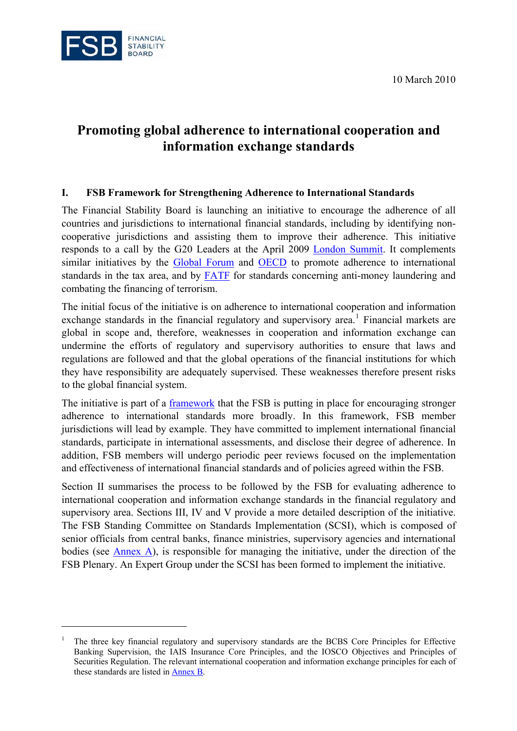10 March 2010



 $\overline{a}$ 

# **Promoting global adherence to international cooperation and information exchange standards**

## **I. FSB Framework for Strengthening Adherence to International Standards**

The Financial Stability Board is launching an initiative to encourage the adherence of all countries and jurisdictions to international financial standards, including by identifying noncooperative jurisdictions and assisting them to improve their adherence. This initiative responds to a call by the G20 Leaders at the April 2009 [London Summit.](http://www.g20.org/Documents/Fin_Deps_Fin_Reg_Annex_020409_-_1615_final.pdf) It complements similar initiatives by the [Global Forum](http://www.oecd.org/site/0,3407,en_21571361_43854757_1_1_1_1_1,00.html) and [OECD](http://www.oecd.org/department/0,3355,en_2649_34897_1_1_1_1_1,00.html) to promote adherence to international standards in the tax area, and by [FATF](http://www.oecd.org/pages/0,3417,en_32250379_32235720_1_1_1_1_1,00.html) for standards concerning anti-money laundering and combating the financing of terrorism.

The initial focus of the initiative is on adherence to international cooperation and information exchange standards in the financial regulatory and supervisory area.<sup>[1](#page-0-0)</sup> Financial markets are global in scope and, therefore, weaknesses in cooperation and information exchange can undermine the efforts of regulatory and supervisory authorities to ensure that laws and regulations are followed and that the global operations of the financial institutions for which they have responsibility are adequately supervised. These weaknesses therefore present risks to the global financial system.

The initiative is part of a [framework](http://www.financialstabilityboard.org/publications/r_100109a.pdf) that the FSB is putting in place for encouraging stronger adherence to international standards more broadly. In this framework, FSB member jurisdictions will lead by example. They have committed to implement international financial standards, participate in international assessments, and disclose their degree of adherence. In addition, FSB members will undergo periodic peer reviews focused on the implementation and effectiveness of international financial standards and of policies agreed within the FSB.

Section II summarises the process to be followed by the FSB for evaluating adherence to international cooperation and information exchange standards in the financial regulatory and supervisory area. Sections III, IV and V provide a more detailed description of the initiative. The FSB Standing Committee on Standards Implementation (SCSI), which is composed of senior officials from central banks, finance ministries, supervisory agencies and international bodies (see  $\Delta$ nnex  $\Delta$ ), is responsible for managing the initiative, under the direction of the FSB Plenary. An Expert Group under the SCSI has been formed to implement the initiative.

<span id="page-0-0"></span><sup>1</sup> The three key financial regulatory and supervisory standards are the BCBS Core Principles for Effective Banking Supervision, the IAIS Insurance Core Principles, and the IOSCO Objectives and Principles of Securities Regulation. The relevant international cooperation and information exchange principles for each of these standards are listed in [Annex B.](#page-14-0)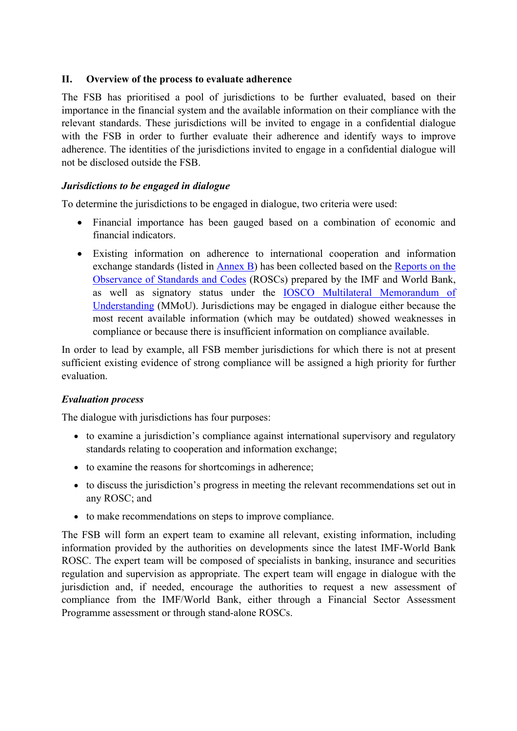# **II. Overview of the process to evaluate adherence**

The FSB has prioritised a pool of jurisdictions to be further evaluated, based on their importance in the financial system and the available information on their compliance with the relevant standards. These jurisdictions will be invited to engage in a confidential dialogue with the FSB in order to further evaluate their adherence and identify ways to improve adherence. The identities of the jurisdictions invited to engage in a confidential dialogue will not be disclosed outside the FSB.

# *Jurisdictions to be engaged in dialogue*

To determine the jurisdictions to be engaged in dialogue, two criteria were used:

- Financial importance has been gauged based on a combination of economic and financial indicators.
- Existing information on adherence to international cooperation and information exchange standards (listed in **Annex B**) has been collected based on the Reports on the [Observance of Standards and Codes](http://www.imf.org/external/np/rosc/rosc.asp) (ROSCs) prepared by the IMF and World Bank, as well as signatory status under the [IOSCO Multilateral Memorandum of](http://www.iosco.org/library/index.cfm?section=mou_siglist)  [Understanding](http://www.iosco.org/library/index.cfm?section=mou_siglist) (MMoU). Jurisdictions may be engaged in dialogue either because the most recent available information (which may be outdated) showed weaknesses in compliance or because there is insufficient information on compliance available.

In order to lead by example, all FSB member jurisdictions for which there is not at present sufficient existing evidence of strong compliance will be assigned a high priority for further evaluation.

## *Evaluation process*

The dialogue with jurisdictions has four purposes:

- to examine a jurisdiction's compliance against international supervisory and regulatory standards relating to cooperation and information exchange;
- to examine the reasons for shortcomings in adherence;
- to discuss the jurisdiction's progress in meeting the relevant recommendations set out in any ROSC; and
- to make recommendations on steps to improve compliance.

The FSB will form an expert team to examine all relevant, existing information, including information provided by the authorities on developments since the latest IMF-World Bank ROSC. The expert team will be composed of specialists in banking, insurance and securities regulation and supervision as appropriate. The expert team will engage in dialogue with the jurisdiction and, if needed, encourage the authorities to request a new assessment of compliance from the IMF/World Bank, either through a Financial Sector Assessment Programme assessment or through stand-alone ROSCs.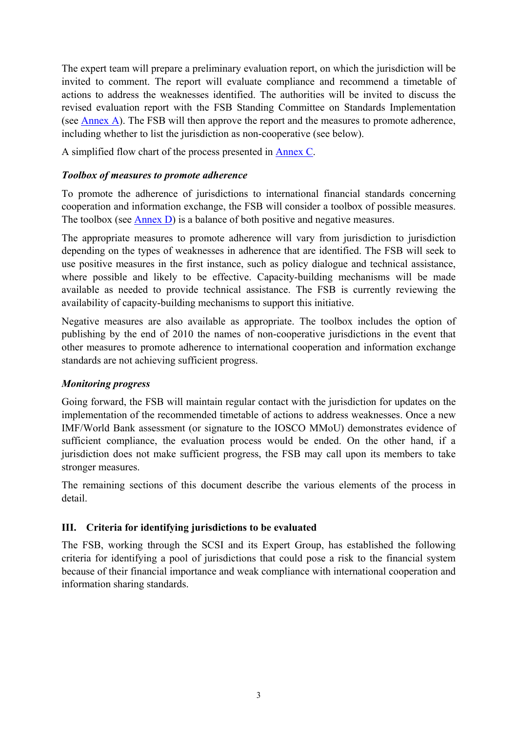The expert team will prepare a preliminary evaluation report, on which the jurisdiction will be invited to comment. The report will evaluate compliance and recommend a timetable of actions to address the weaknesses identified. The authorities will be invited to discuss the revised evaluation report with the FSB Standing Committee on Standards Implementation (see [Annex A](#page-12-0)). The FSB will then approve the report and the measures to promote adherence, including whether to list the jurisdiction as non-cooperative (see below).

A simplified flow chart of the process presented in [Annex C](#page-17-0).

# *Toolbox of measures to promote adherence*

To promote the adherence of jurisdictions to international financial standards concerning cooperation and information exchange, the FSB will consider a toolbox of possible measures. The toolbox (see [Annex D](#page-18-0)) is a balance of both positive and negative measures.

The appropriate measures to promote adherence will vary from jurisdiction to jurisdiction depending on the types of weaknesses in adherence that are identified. The FSB will seek to use positive measures in the first instance, such as policy dialogue and technical assistance, where possible and likely to be effective. Capacity-building mechanisms will be made available as needed to provide technical assistance. The FSB is currently reviewing the availability of capacity-building mechanisms to support this initiative.

Negative measures are also available as appropriate. The toolbox includes the option of publishing by the end of 2010 the names of non-cooperative jurisdictions in the event that other measures to promote adherence to international cooperation and information exchange standards are not achieving sufficient progress.

## *Monitoring progress*

Going forward, the FSB will maintain regular contact with the jurisdiction for updates on the implementation of the recommended timetable of actions to address weaknesses. Once a new IMF/World Bank assessment (or signature to the IOSCO MMoU) demonstrates evidence of sufficient compliance, the evaluation process would be ended. On the other hand, if a jurisdiction does not make sufficient progress, the FSB may call upon its members to take stronger measures.

The remaining sections of this document describe the various elements of the process in detail.

## **III. Criteria for identifying jurisdictions to be evaluated**

The FSB, working through the SCSI and its Expert Group, has established the following criteria for identifying a pool of jurisdictions that could pose a risk to the financial system because of their financial importance and weak compliance with international cooperation and information sharing standards.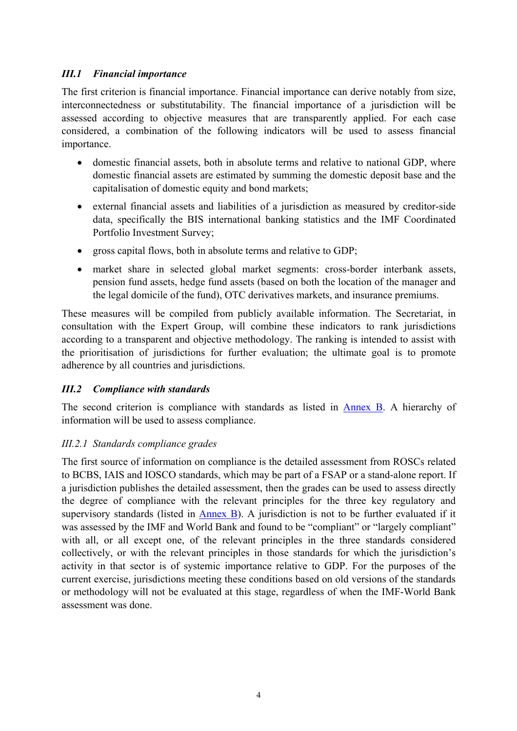# *III.1 Financial importance*

The first criterion is financial importance. Financial importance can derive notably from size, interconnectedness or substitutability. The financial importance of a jurisdiction will be assessed according to objective measures that are transparently applied. For each case considered, a combination of the following indicators will be used to assess financial importance.

- domestic financial assets, both in absolute terms and relative to national GDP, where domestic financial assets are estimated by summing the domestic deposit base and the capitalisation of domestic equity and bond markets;
- external financial assets and liabilities of a jurisdiction as measured by creditor-side data, specifically the BIS international banking statistics and the IMF Coordinated Portfolio Investment Survey;
- gross capital flows, both in absolute terms and relative to GDP;
- market share in selected global market segments: cross-border interbank assets, pension fund assets, hedge fund assets (based on both the location of the manager and the legal domicile of the fund), OTC derivatives markets, and insurance premiums.

These measures will be compiled from publicly available information. The Secretariat, in consultation with the Expert Group, will combine these indicators to rank jurisdictions according to a transparent and objective methodology. The ranking is intended to assist with the prioritisation of jurisdictions for further evaluation; the ultimate goal is to promote adherence by all countries and jurisdictions.

# *III.2 Compliance with standards*

The second criterion is compliance with standards as listed in [Annex B.](#page-14-0) A hierarchy of information will be used to assess compliance.

# *III.2.1 Standards compliance grades*

The first source of information on compliance is the detailed assessment from ROSCs related to BCBS, IAIS and IOSCO standards, which may be part of a FSAP or a stand-alone report. If a jurisdiction publishes the detailed assessment, then the grades can be used to assess directly the degree of compliance with the relevant principles for the three key regulatory and supervisory standards (listed in  $\Delta$ nnex B). A jurisdiction is not to be further evaluated if it was assessed by the IMF and World Bank and found to be "compliant" or "largely compliant" with all, or all except one, of the relevant principles in the three standards considered collectively, or with the relevant principles in those standards for which the jurisdiction's activity in that sector is of systemic importance relative to GDP. For the purposes of the current exercise, jurisdictions meeting these conditions based on old versions of the standards or methodology will not be evaluated at this stage, regardless of when the IMF-World Bank assessment was done.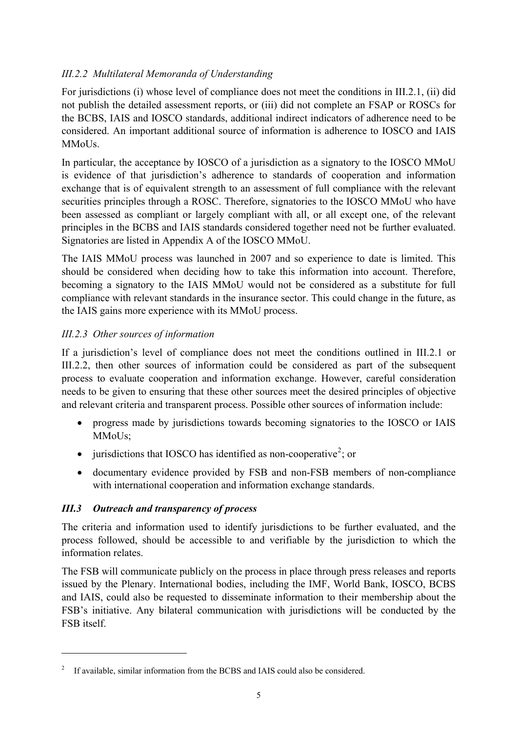# *III.2.2 Multilateral Memoranda of Understanding*

For jurisdictions (i) whose level of compliance does not meet the conditions in III.2.1, (ii) did not publish the detailed assessment reports, or (iii) did not complete an FSAP or ROSCs for the BCBS, IAIS and IOSCO standards, additional indirect indicators of adherence need to be considered. An important additional source of information is adherence to IOSCO and IAIS MMoUs.

In particular, the acceptance by IOSCO of a jurisdiction as a signatory to the IOSCO MMoU is evidence of that jurisdiction's adherence to standards of cooperation and information exchange that is of equivalent strength to an assessment of full compliance with the relevant securities principles through a ROSC. Therefore, signatories to the IOSCO MMoU who have been assessed as compliant or largely compliant with all, or all except one, of the relevant principles in the BCBS and IAIS standards considered together need not be further evaluated. Signatories are listed in Appendix A of the IOSCO MMoU.

The IAIS MMoU process was launched in 2007 and so experience to date is limited. This should be considered when deciding how to take this information into account. Therefore, becoming a signatory to the IAIS MMoU would not be considered as a substitute for full compliance with relevant standards in the insurance sector. This could change in the future, as the IAIS gains more experience with its MMoU process.

# *III.2.3 Other sources of information*

If a jurisdiction's level of compliance does not meet the conditions outlined in III.2.1 or III.2.2, then other sources of information could be considered as part of the subsequent process to evaluate cooperation and information exchange. However, careful consideration needs to be given to ensuring that these other sources meet the desired principles of objective and relevant criteria and transparent process. Possible other sources of information include:

- progress made by jurisdictions towards becoming signatories to the IOSCO or IAIS MMoUs;
- $\bullet$  jurisdictions that IOSCO has identified as non-cooperative<sup>[2](#page-4-0)</sup>; or
- documentary evidence provided by FSB and non-FSB members of non-compliance with international cooperation and information exchange standards.

# *III.3 Outreach and transparency of process*

 $\overline{a}$ 

The criteria and information used to identify jurisdictions to be further evaluated, and the process followed, should be accessible to and verifiable by the jurisdiction to which the information relates.

The FSB will communicate publicly on the process in place through press releases and reports issued by the Plenary. International bodies, including the IMF, World Bank, IOSCO, BCBS and IAIS, could also be requested to disseminate information to their membership about the FSB's initiative. Any bilateral communication with jurisdictions will be conducted by the FSB itself.

<span id="page-4-0"></span><sup>2</sup> If available, similar information from the BCBS and IAIS could also be considered.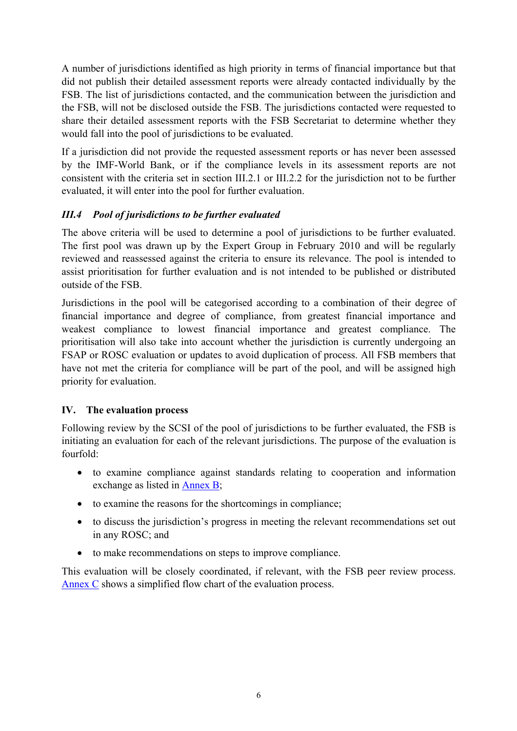A number of jurisdictions identified as high priority in terms of financial importance but that did not publish their detailed assessment reports were already contacted individually by the FSB. The list of jurisdictions contacted, and the communication between the jurisdiction and the FSB, will not be disclosed outside the FSB. The jurisdictions contacted were requested to share their detailed assessment reports with the FSB Secretariat to determine whether they would fall into the pool of jurisdictions to be evaluated.

If a jurisdiction did not provide the requested assessment reports or has never been assessed by the IMF-World Bank, or if the compliance levels in its assessment reports are not consistent with the criteria set in section III.2.1 or III.2.2 for the jurisdiction not to be further evaluated, it will enter into the pool for further evaluation.

# *III.4 Pool of jurisdictions to be further evaluated*

The above criteria will be used to determine a pool of jurisdictions to be further evaluated. The first pool was drawn up by the Expert Group in February 2010 and will be regularly reviewed and reassessed against the criteria to ensure its relevance. The pool is intended to assist prioritisation for further evaluation and is not intended to be published or distributed outside of the FSB.

Jurisdictions in the pool will be categorised according to a combination of their degree of financial importance and degree of compliance, from greatest financial importance and weakest compliance to lowest financial importance and greatest compliance. The prioritisation will also take into account whether the jurisdiction is currently undergoing an FSAP or ROSC evaluation or updates to avoid duplication of process. All FSB members that have not met the criteria for compliance will be part of the pool, and will be assigned high priority for evaluation.

# **IV. The evaluation process**

Following review by the SCSI of the pool of jurisdictions to be further evaluated, the FSB is initiating an evaluation for each of the relevant jurisdictions. The purpose of the evaluation is fourfold:

- to examine compliance against standards relating to cooperation and information exchange as listed in [Annex B;](#page-14-0)
- to examine the reasons for the shortcomings in compliance;
- to discuss the jurisdiction's progress in meeting the relevant recommendations set out in any ROSC; and
- to make recommendations on steps to improve compliance.

This evaluation will be closely coordinated, if relevant, with the FSB peer review process. [Annex C](#page-17-0) shows a simplified flow chart of the evaluation process.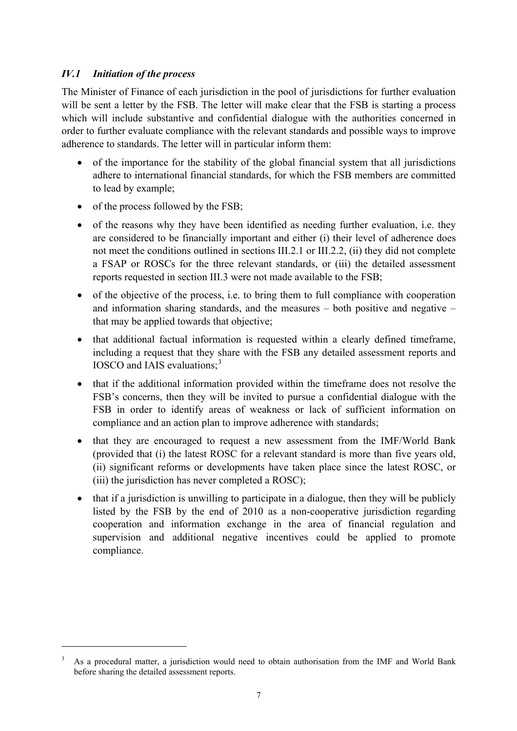# *IV.1 Initiation of the process*

 $\overline{a}$ 

The Minister of Finance of each jurisdiction in the pool of jurisdictions for further evaluation will be sent a letter by the FSB. The letter will make clear that the FSB is starting a process which will include substantive and confidential dialogue with the authorities concerned in order to further evaluate compliance with the relevant standards and possible ways to improve adherence to standards. The letter will in particular inform them:

- of the importance for the stability of the global financial system that all jurisdictions adhere to international financial standards, for which the FSB members are committed to lead by example;
- $\bullet$  of the process followed by the FSB;
- of the reasons why they have been identified as needing further evaluation, i.e. they are considered to be financially important and either (i) their level of adherence does not meet the conditions outlined in sections III.2.1 or III.2.2, (ii) they did not complete a FSAP or ROSCs for the three relevant standards, or (iii) the detailed assessment reports requested in section III.3 were not made available to the FSB;
- of the objective of the process, i.e. to bring them to full compliance with cooperation and information sharing standards, and the measures – both positive and negative – that may be applied towards that objective;
- that additional factual information is requested within a clearly defined timeframe, including a request that they share with the FSB any detailed assessment reports and IOSCO and IAIS evaluations:<sup>[3](#page-6-0)</sup>
- that if the additional information provided within the timeframe does not resolve the FSB's concerns, then they will be invited to pursue a confidential dialogue with the FSB in order to identify areas of weakness or lack of sufficient information on compliance and an action plan to improve adherence with standards;
- that they are encouraged to request a new assessment from the IMF/World Bank (provided that (i) the latest ROSC for a relevant standard is more than five years old, (ii) significant reforms or developments have taken place since the latest ROSC, or (iii) the jurisdiction has never completed a ROSC);
- that if a jurisdiction is unwilling to participate in a dialogue, then they will be publicly listed by the FSB by the end of 2010 as a non-cooperative jurisdiction regarding cooperation and information exchange in the area of financial regulation and supervision and additional negative incentives could be applied to promote compliance.

<span id="page-6-0"></span><sup>3</sup> As a procedural matter, a jurisdiction would need to obtain authorisation from the IMF and World Bank before sharing the detailed assessment reports.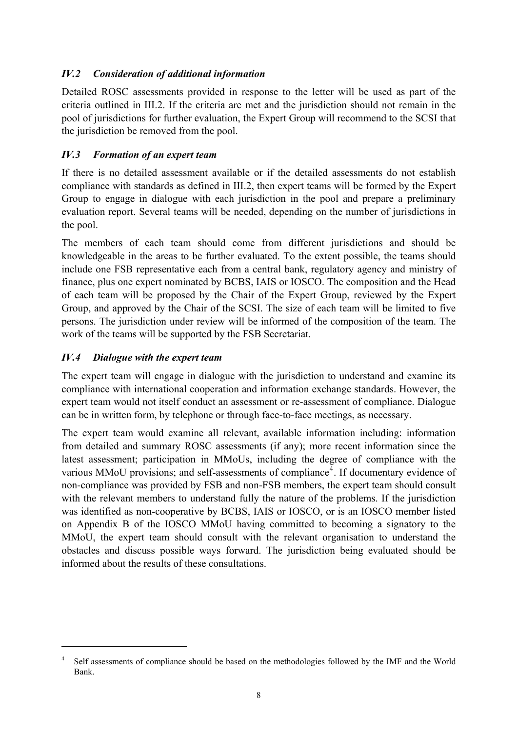# *IV.2 Consideration of additional information*

Detailed ROSC assessments provided in response to the letter will be used as part of the criteria outlined in III.2. If the criteria are met and the jurisdiction should not remain in the pool of jurisdictions for further evaluation, the Expert Group will recommend to the SCSI that the jurisdiction be removed from the pool.

# *IV.3 Formation of an expert team*

If there is no detailed assessment available or if the detailed assessments do not establish compliance with standards as defined in III.2, then expert teams will be formed by the Expert Group to engage in dialogue with each jurisdiction in the pool and prepare a preliminary evaluation report. Several teams will be needed, depending on the number of jurisdictions in the pool.

The members of each team should come from different jurisdictions and should be knowledgeable in the areas to be further evaluated. To the extent possible, the teams should include one FSB representative each from a central bank, regulatory agency and ministry of finance, plus one expert nominated by BCBS, IAIS or IOSCO. The composition and the Head of each team will be proposed by the Chair of the Expert Group, reviewed by the Expert Group, and approved by the Chair of the SCSI. The size of each team will be limited to five persons. The jurisdiction under review will be informed of the composition of the team. The work of the teams will be supported by the FSB Secretariat.

# *IV.4 Dialogue with the expert team*

 $\overline{a}$ 

The expert team will engage in dialogue with the jurisdiction to understand and examine its compliance with international cooperation and information exchange standards. However, the expert team would not itself conduct an assessment or re-assessment of compliance. Dialogue can be in written form, by telephone or through face-to-face meetings, as necessary.

The expert team would examine all relevant, available information including: information from detailed and summary ROSC assessments (if any); more recent information since the latest assessment; participation in MMoUs, including the degree of compliance with the various MMoU provisions; and self-assessments of compliance<sup>[4](#page-7-0)</sup>. If documentary evidence of non-compliance was provided by FSB and non-FSB members, the expert team should consult with the relevant members to understand fully the nature of the problems. If the jurisdiction was identified as non-cooperative by BCBS, IAIS or IOSCO, or is an IOSCO member listed on Appendix B of the IOSCO MMoU having committed to becoming a signatory to the MMoU, the expert team should consult with the relevant organisation to understand the obstacles and discuss possible ways forward. The jurisdiction being evaluated should be informed about the results of these consultations.

<span id="page-7-0"></span><sup>4</sup> Self assessments of compliance should be based on the methodologies followed by the IMF and the World Bank.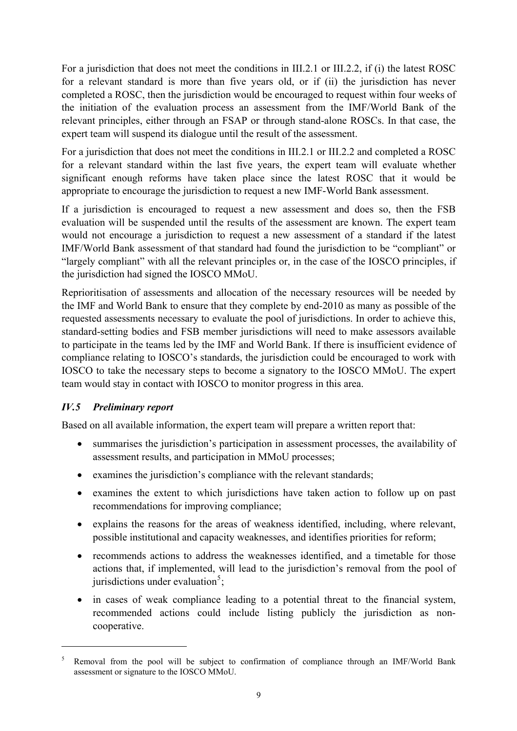For a jurisdiction that does not meet the conditions in III.2.1 or III.2.2, if (i) the latest ROSC for a relevant standard is more than five years old, or if (ii) the jurisdiction has never completed a ROSC, then the jurisdiction would be encouraged to request within four weeks of the initiation of the evaluation process an assessment from the IMF/World Bank of the relevant principles, either through an FSAP or through stand-alone ROSCs. In that case, the expert team will suspend its dialogue until the result of the assessment.

For a jurisdiction that does not meet the conditions in III.2.1 or III.2.2 and completed a ROSC for a relevant standard within the last five years, the expert team will evaluate whether significant enough reforms have taken place since the latest ROSC that it would be appropriate to encourage the jurisdiction to request a new IMF-World Bank assessment.

If a jurisdiction is encouraged to request a new assessment and does so, then the FSB evaluation will be suspended until the results of the assessment are known. The expert team would not encourage a jurisdiction to request a new assessment of a standard if the latest IMF/World Bank assessment of that standard had found the jurisdiction to be "compliant" or "largely compliant" with all the relevant principles or, in the case of the IOSCO principles, if the jurisdiction had signed the IOSCO MMoU.

Reprioritisation of assessments and allocation of the necessary resources will be needed by the IMF and World Bank to ensure that they complete by end-2010 as many as possible of the requested assessments necessary to evaluate the pool of jurisdictions. In order to achieve this, standard-setting bodies and FSB member jurisdictions will need to make assessors available to participate in the teams led by the IMF and World Bank. If there is insufficient evidence of compliance relating to IOSCO's standards, the jurisdiction could be encouraged to work with IOSCO to take the necessary steps to become a signatory to the IOSCO MMoU. The expert team would stay in contact with IOSCO to monitor progress in this area.

# *IV.5 Preliminary report*

 $\overline{a}$ 

Based on all available information, the expert team will prepare a written report that:

- summarises the jurisdiction's participation in assessment processes, the availability of assessment results, and participation in MMoU processes;
- examines the jurisdiction's compliance with the relevant standards;
- examines the extent to which jurisdictions have taken action to follow up on past recommendations for improving compliance;
- explains the reasons for the areas of weakness identified, including, where relevant, possible institutional and capacity weaknesses, and identifies priorities for reform;
- recommends actions to address the weaknesses identified, and a timetable for those actions that, if implemented, will lead to the jurisdiction's removal from the pool of jurisdictions under evaluation<sup>[5](#page-8-0)</sup>;
- in cases of weak compliance leading to a potential threat to the financial system, recommended actions could include listing publicly the jurisdiction as noncooperative.

<span id="page-8-0"></span><sup>5</sup> Removal from the pool will be subject to confirmation of compliance through an IMF/World Bank assessment or signature to the IOSCO MMoU.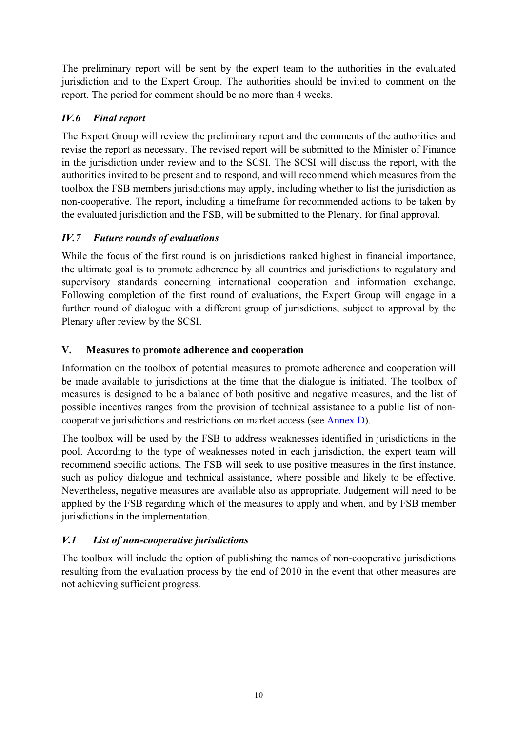The preliminary report will be sent by the expert team to the authorities in the evaluated jurisdiction and to the Expert Group. The authorities should be invited to comment on the report. The period for comment should be no more than 4 weeks.

# *IV.6 Final report*

The Expert Group will review the preliminary report and the comments of the authorities and revise the report as necessary. The revised report will be submitted to the Minister of Finance in the jurisdiction under review and to the SCSI. The SCSI will discuss the report, with the authorities invited to be present and to respond, and will recommend which measures from the toolbox the FSB members jurisdictions may apply, including whether to list the jurisdiction as non-cooperative. The report, including a timeframe for recommended actions to be taken by the evaluated jurisdiction and the FSB, will be submitted to the Plenary, for final approval.

# *IV.7 Future rounds of evaluations*

While the focus of the first round is on jurisdictions ranked highest in financial importance, the ultimate goal is to promote adherence by all countries and jurisdictions to regulatory and supervisory standards concerning international cooperation and information exchange. Following completion of the first round of evaluations, the Expert Group will engage in a further round of dialogue with a different group of jurisdictions, subject to approval by the Plenary after review by the SCSI.

# **V. Measures to promote adherence and cooperation**

Information on the toolbox of potential measures to promote adherence and cooperation will be made available to jurisdictions at the time that the dialogue is initiated. The toolbox of measures is designed to be a balance of both positive and negative measures, and the list of possible incentives ranges from the provision of technical assistance to a public list of noncooperative jurisdictions and restrictions on market access (see [Annex D\)](#page-18-0).

The toolbox will be used by the FSB to address weaknesses identified in jurisdictions in the pool. According to the type of weaknesses noted in each jurisdiction, the expert team will recommend specific actions. The FSB will seek to use positive measures in the first instance, such as policy dialogue and technical assistance, where possible and likely to be effective. Nevertheless, negative measures are available also as appropriate. Judgement will need to be applied by the FSB regarding which of the measures to apply and when, and by FSB member jurisdictions in the implementation.

# *V.1 List of non-cooperative jurisdictions*

The toolbox will include the option of publishing the names of non-cooperative jurisdictions resulting from the evaluation process by the end of 2010 in the event that other measures are not achieving sufficient progress.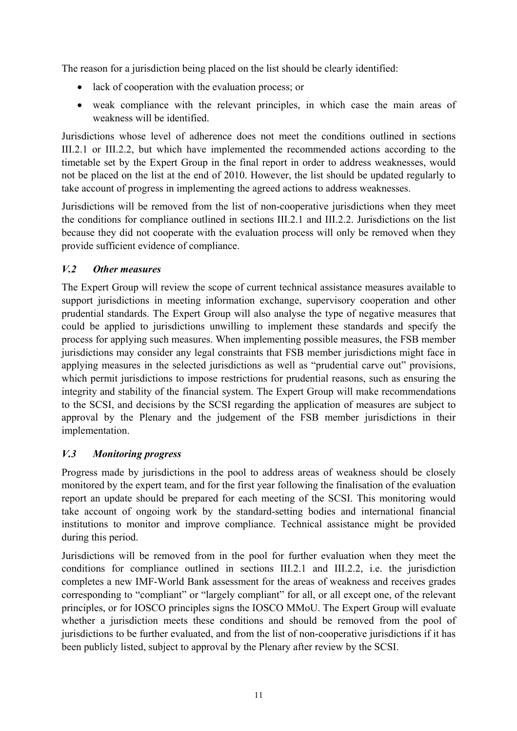The reason for a jurisdiction being placed on the list should be clearly identified:

- lack of cooperation with the evaluation process; or
- weak compliance with the relevant principles, in which case the main areas of weakness will be identified.

Jurisdictions whose level of adherence does not meet the conditions outlined in sections III.2.1 or III.2.2, but which have implemented the recommended actions according to the timetable set by the Expert Group in the final report in order to address weaknesses, would not be placed on the list at the end of 2010. However, the list should be updated regularly to take account of progress in implementing the agreed actions to address weaknesses.

Jurisdictions will be removed from the list of non-cooperative jurisdictions when they meet the conditions for compliance outlined in sections III.2.1 and III.2.2. Jurisdictions on the list because they did not cooperate with the evaluation process will only be removed when they provide sufficient evidence of compliance.

# *V.2 Other measures*

The Expert Group will review the scope of current technical assistance measures available to support jurisdictions in meeting information exchange, supervisory cooperation and other prudential standards. The Expert Group will also analyse the type of negative measures that could be applied to jurisdictions unwilling to implement these standards and specify the process for applying such measures. When implementing possible measures, the FSB member jurisdictions may consider any legal constraints that FSB member jurisdictions might face in applying measures in the selected jurisdictions as well as "prudential carve out" provisions, which permit jurisdictions to impose restrictions for prudential reasons, such as ensuring the integrity and stability of the financial system. The Expert Group will make recommendations to the SCSI, and decisions by the SCSI regarding the application of measures are subject to approval by the Plenary and the judgement of the FSB member jurisdictions in their implementation.

# *V.3 Monitoring progress*

Progress made by jurisdictions in the pool to address areas of weakness should be closely monitored by the expert team, and for the first year following the finalisation of the evaluation report an update should be prepared for each meeting of the SCSI. This monitoring would take account of ongoing work by the standard-setting bodies and international financial institutions to monitor and improve compliance. Technical assistance might be provided during this period.

Jurisdictions will be removed from in the pool for further evaluation when they meet the conditions for compliance outlined in sections III.2.1 and III.2.2, i.e. the jurisdiction completes a new IMF-World Bank assessment for the areas of weakness and receives grades corresponding to "compliant" or "largely compliant" for all, or all except one, of the relevant principles, or for IOSCO principles signs the IOSCO MMoU. The Expert Group will evaluate whether a jurisdiction meets these conditions and should be removed from the pool of jurisdictions to be further evaluated, and from the list of non-cooperative jurisdictions if it has been publicly listed, subject to approval by the Plenary after review by the SCSI.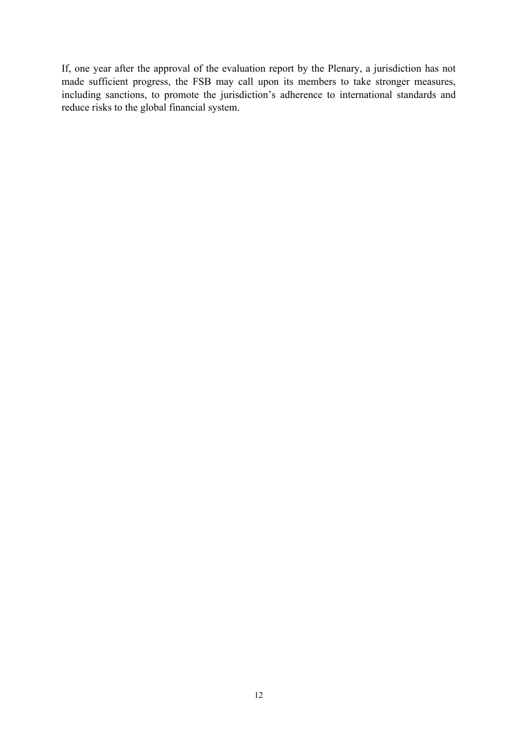If, one year after the approval of the evaluation report by the Plenary, a jurisdiction has not made sufficient progress, the FSB may call upon its members to take stronger measures, including sanctions, to promote the jurisdiction's adherence to international standards and reduce risks to the global financial system.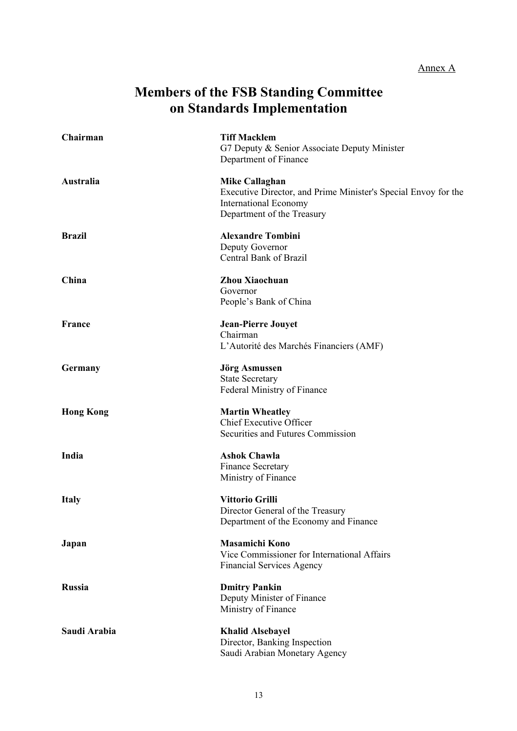# Annex A

# **Members of the FSB Standing Committee on Standards Implementation**

<span id="page-12-0"></span>

| Chairman         | <b>Tiff Macklem</b><br>G7 Deputy & Senior Associate Deputy Minister<br>Department of Finance                                                          |
|------------------|-------------------------------------------------------------------------------------------------------------------------------------------------------|
| Australia        | <b>Mike Callaghan</b><br>Executive Director, and Prime Minister's Special Envoy for the<br><b>International Economy</b><br>Department of the Treasury |
| <b>Brazil</b>    | <b>Alexandre Tombini</b><br>Deputy Governor<br>Central Bank of Brazil                                                                                 |
| China            | Zhou Xiaochuan<br>Governor<br>People's Bank of China                                                                                                  |
| <b>France</b>    | <b>Jean-Pierre Jouyet</b><br>Chairman<br>L'Autorité des Marchés Financiers (AMF)                                                                      |
| Germany          | <b>Jörg Asmussen</b><br><b>State Secretary</b><br>Federal Ministry of Finance                                                                         |
| <b>Hong Kong</b> | <b>Martin Wheatley</b><br>Chief Executive Officer<br>Securities and Futures Commission                                                                |
| India            | <b>Ashok Chawla</b><br>Finance Secretary<br>Ministry of Finance                                                                                       |
| <b>Italy</b>     | Vittorio Grilli<br>Director General of the Treasury<br>Department of the Economy and Finance                                                          |
| Japan            | <b>Masamichi Kono</b><br>Vice Commissioner for International Affairs<br><b>Financial Services Agency</b>                                              |
| <b>Russia</b>    | <b>Dmitry Pankin</b><br>Deputy Minister of Finance<br>Ministry of Finance                                                                             |
| Saudi Arabia     | <b>Khalid Alsebayel</b><br>Director, Banking Inspection<br>Saudi Arabian Monetary Agency                                                              |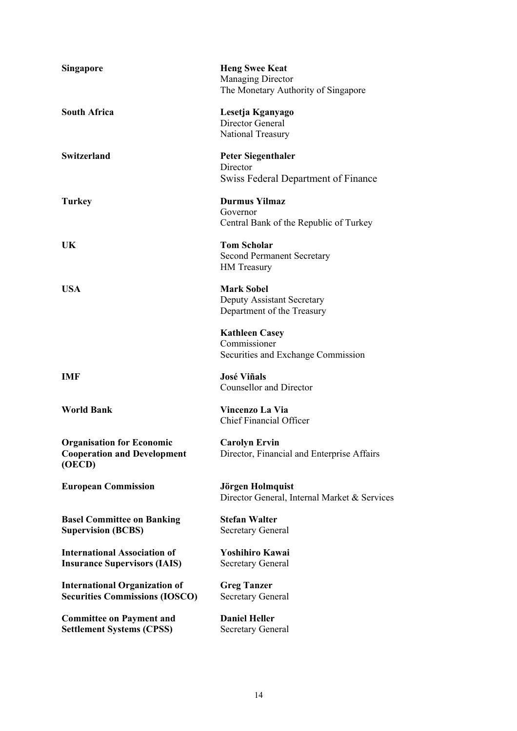| <b>Singapore</b>                                                                 | <b>Heng Swee Keat</b><br><b>Managing Director</b><br>The Monetary Authority of Singapore |
|----------------------------------------------------------------------------------|------------------------------------------------------------------------------------------|
| <b>South Africa</b>                                                              | Lesetja Kganyago<br>Director General<br>National Treasury                                |
| <b>Switzerland</b>                                                               | <b>Peter Siegenthaler</b><br>Director<br><b>Swiss Federal Department of Finance</b>      |
| <b>Turkey</b>                                                                    | <b>Durmus Yilmaz</b><br>Governor<br>Central Bank of the Republic of Turkey               |
| UK                                                                               | <b>Tom Scholar</b><br><b>Second Permanent Secretary</b><br><b>HM</b> Treasury            |
| <b>USA</b>                                                                       | <b>Mark Sobel</b><br>Deputy Assistant Secretary<br>Department of the Treasury            |
|                                                                                  | <b>Kathleen Casey</b><br>Commissioner<br>Securities and Exchange Commission              |
| IMF                                                                              | <b>José Viñals</b><br><b>Counsellor and Director</b>                                     |
| <b>World Bank</b>                                                                | <b>Vincenzo La Via</b><br><b>Chief Financial Officer</b>                                 |
| <b>Organisation for Economic</b><br><b>Cooperation and Development</b><br>(OECD) | <b>Carolyn Ervin</b><br>Director, Financial and Enterprise Affairs                       |
| <b>European Commission</b>                                                       | Jörgen Holmquist<br>Director General, Internal Market & Services                         |
| <b>Basel Committee on Banking</b><br><b>Supervision (BCBS)</b>                   | <b>Stefan Walter</b><br><b>Secretary General</b>                                         |
| <b>International Association of</b><br><b>Insurance Supervisors (IAIS)</b>       | Yoshihiro Kawai<br><b>Secretary General</b>                                              |
| <b>International Organization of</b><br><b>Securities Commissions (IOSCO)</b>    | <b>Greg Tanzer</b><br><b>Secretary General</b>                                           |
| <b>Committee on Payment and</b><br><b>Settlement Systems (CPSS)</b>              | <b>Daniel Heller</b><br><b>Secretary General</b>                                         |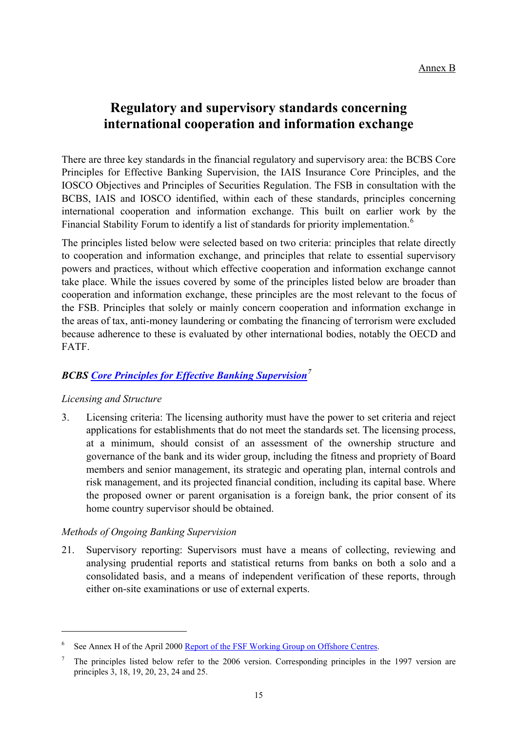# **Regulatory and supervisory standards concerning international cooperation and information exchange**

<span id="page-14-0"></span>There are three key standards in the financial regulatory and supervisory area: the BCBS Core Principles for Effective Banking Supervision, the IAIS Insurance Core Principles, and the IOSCO Objectives and Principles of Securities Regulation. The FSB in consultation with the BCBS, IAIS and IOSCO identified, within each of these standards, principles concerning international cooperation and information exchange. This built on earlier work by the Financial Stability Forum to identify a list of standards for priority implementation.<sup>[6](#page-14-1)</sup>

The principles listed below were selected based on two criteria: principles that relate directly to cooperation and information exchange, and principles that relate to essential supervisory powers and practices, without which effective cooperation and information exchange cannot take place. While the issues covered by some of the principles listed below are broader than cooperation and information exchange, these principles are the most relevant to the focus of the FSB. Principles that solely or mainly concern cooperation and information exchange in the areas of tax, anti-money laundering or combating the financing of terrorism were excluded because adherence to these is evaluated by other international bodies, notably the OECD and FATF.

# *BCBS [Core Principles for Effective Banking Supervision](http://www.bis.org/publ/bcbs129.htm)[7](#page-14-2)*

## *Licensing and Structure*

 $\overline{a}$ 

3. Licensing criteria: The licensing authority must have the power to set criteria and reject applications for establishments that do not meet the standards set. The licensing process, at a minimum, should consist of an assessment of the ownership structure and governance of the bank and its wider group, including the fitness and propriety of Board members and senior management, its strategic and operating plan, internal controls and risk management, and its projected financial condition, including its capital base. Where the proposed owner or parent organisation is a foreign bank, the prior consent of its home country supervisor should be obtained.

## *Methods of Ongoing Banking Supervision*

21. Supervisory reporting: Supervisors must have a means of collecting, reviewing and analysing prudential reports and statistical returns from banks on both a solo and a consolidated basis, and a means of independent verification of these reports, through either on-site examinations or use of external experts.

<span id="page-14-1"></span><sup>6</sup> See Annex H of the April 2000 [Report of the FSF Working Group on Offshore Centres](http://www.financialstabilityboard.org/publications/r_0004b.pdf).

<span id="page-14-2"></span><sup>7</sup> The principles listed below refer to the 2006 version. Corresponding principles in the 1997 version are principles 3, 18, 19, 20, 23, 24 and 25.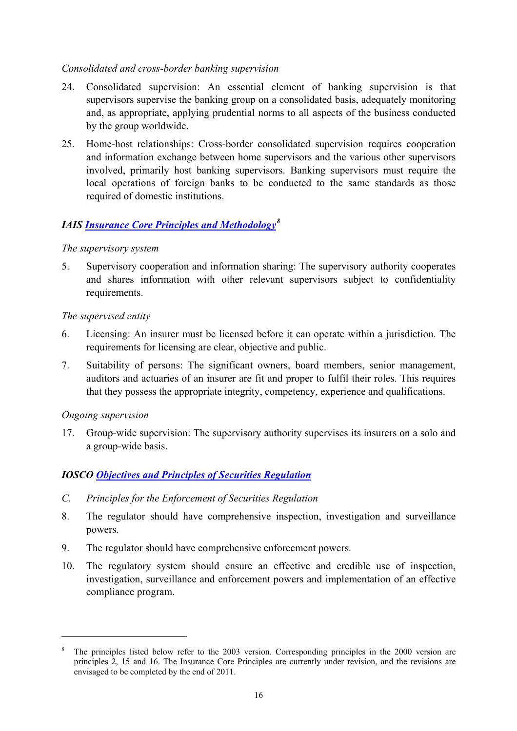## *Consolidated and cross-border banking supervision*

- 24. Consolidated supervision: An essential element of banking supervision is that supervisors supervise the banking group on a consolidated basis, adequately monitoring and, as appropriate, applying prudential norms to all aspects of the business conducted by the group worldwide.
- 25. Home-host relationships: Cross-border consolidated supervision requires cooperation and information exchange between home supervisors and the various other supervisors involved, primarily host banking supervisors. Banking supervisors must require the local operations of foreign banks to be conducted to the same standards as those required of domestic institutions.

# *IAIS [Insurance Core Principles and Methodology](http://www.iaisweb.org/__temp/Insurance_core_principles_and_methodology.pdf)[8](#page-15-0)*

#### *The supervisory system*

5. Supervisory cooperation and information sharing: The supervisory authority cooperates and shares information with other relevant supervisors subject to confidentiality requirements.

#### *The supervised entity*

- 6. Licensing: An insurer must be licensed before it can operate within a jurisdiction. The requirements for licensing are clear, objective and public.
- 7. Suitability of persons: The significant owners, board members, senior management, auditors and actuaries of an insurer are fit and proper to fulfil their roles. This requires that they possess the appropriate integrity, competency, experience and qualifications.

#### *Ongoing supervision*

 $\overline{a}$ 

17. Group-wide supervision: The supervisory authority supervises its insurers on a solo and a group-wide basis.

# *IOSCO [Objectives and Principles of Securities Regulation](http://www.iosco.org/library/pubdocs/pdf/IOSCOPD154.pdf)*

- *C. Principles for the Enforcement of Securities Regulation*
- 8. The regulator should have comprehensive inspection, investigation and surveillance powers.
- 9. The regulator should have comprehensive enforcement powers.
- 10. The regulatory system should ensure an effective and credible use of inspection, investigation, surveillance and enforcement powers and implementation of an effective compliance program.

<span id="page-15-0"></span><sup>8</sup> The principles listed below refer to the 2003 version. Corresponding principles in the 2000 version are principles 2, 15 and 16. The Insurance Core Principles are currently under revision, and the revisions are envisaged to be completed by the end of 2011.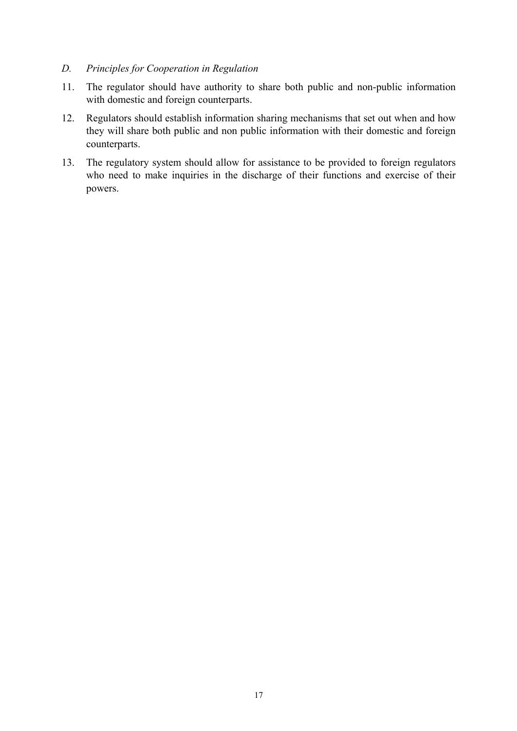#### *D. Principles for Cooperation in Regulation*

- 11. The regulator should have authority to share both public and non-public information with domestic and foreign counterparts.
- 12. Regulators should establish information sharing mechanisms that set out when and how they will share both public and non public information with their domestic and foreign counterparts.
- 13. The regulatory system should allow for assistance to be provided to foreign regulators who need to make inquiries in the discharge of their functions and exercise of their powers.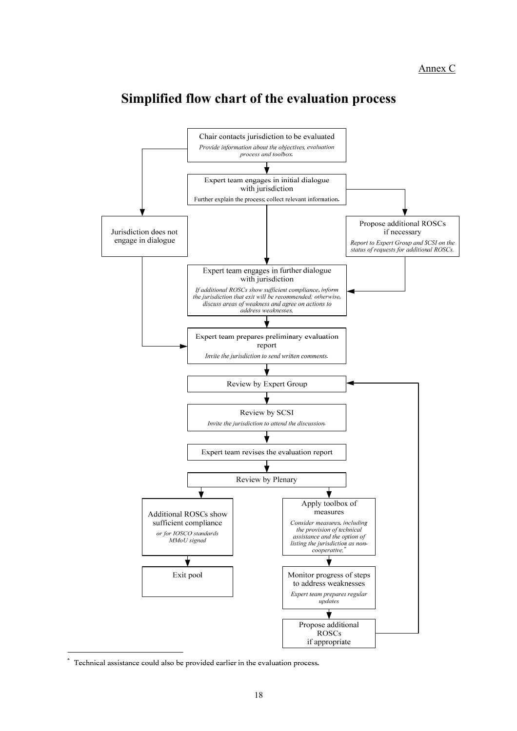# **Simplified flow chart of the evaluation process**

<span id="page-17-0"></span>

Technical assistance could also be provided earlier in the evaluation process.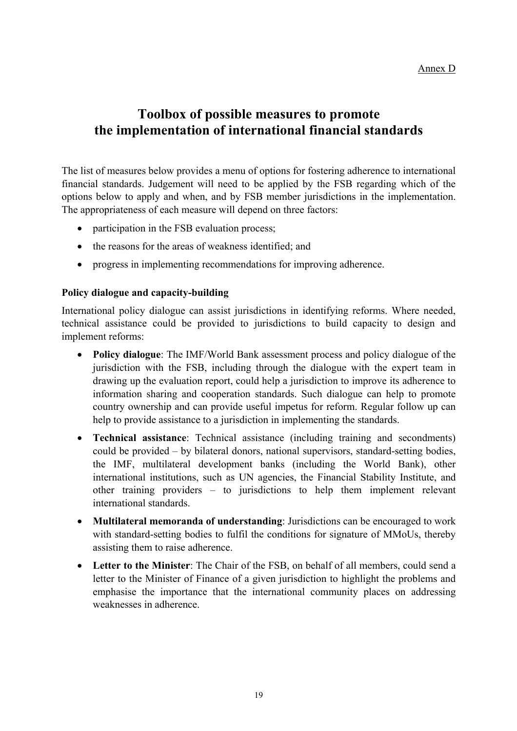# **Toolbox of possible measures to promote the implementation of international financial standards**

<span id="page-18-0"></span>The list of measures below provides a menu of options for fostering adherence to international financial standards. Judgement will need to be applied by the FSB regarding which of the options below to apply and when, and by FSB member jurisdictions in the implementation. The appropriateness of each measure will depend on three factors:

- participation in the FSB evaluation process;
- the reasons for the areas of weakness identified; and
- progress in implementing recommendations for improving adherence.

## **Policy dialogue and capacity-building**

International policy dialogue can assist jurisdictions in identifying reforms. Where needed, technical assistance could be provided to jurisdictions to build capacity to design and implement reforms:

- **Policy dialogue**: The IMF/World Bank assessment process and policy dialogue of the jurisdiction with the FSB, including through the dialogue with the expert team in drawing up the evaluation report, could help a jurisdiction to improve its adherence to information sharing and cooperation standards. Such dialogue can help to promote country ownership and can provide useful impetus for reform. Regular follow up can help to provide assistance to a jurisdiction in implementing the standards.
- **Technical assistance**: Technical assistance (including training and secondments) could be provided – by bilateral donors, national supervisors, standard-setting bodies, the IMF, multilateral development banks (including the World Bank), other international institutions, such as UN agencies, the Financial Stability Institute, and other training providers – to jurisdictions to help them implement relevant international standards.
- **Multilateral memoranda of understanding**: Jurisdictions can be encouraged to work with standard-setting bodies to fulfil the conditions for signature of MMoUs, thereby assisting them to raise adherence.
- **Letter to the Minister**: The Chair of the FSB, on behalf of all members, could send a letter to the Minister of Finance of a given jurisdiction to highlight the problems and emphasise the importance that the international community places on addressing weaknesses in adherence.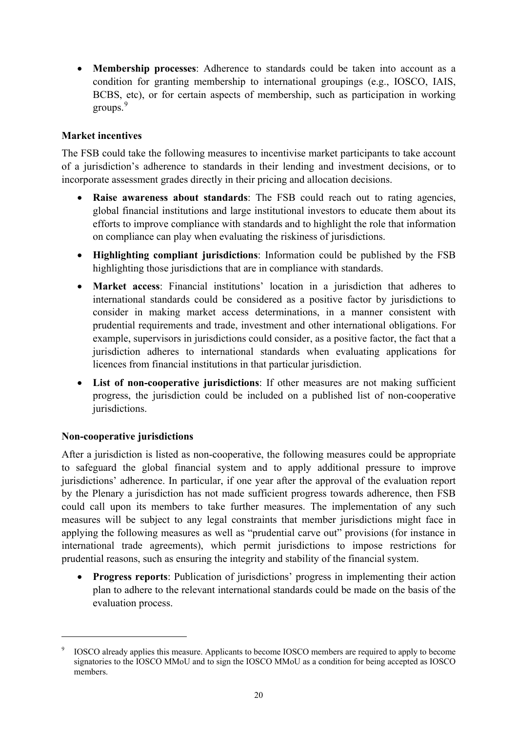**Membership processes**: Adherence to standards could be taken into account as a condition for granting membership to international groupings (e.g., IOSCO, IAIS, BCBS, etc), or for certain aspects of membership, such as participation in working groups.<sup>[9](#page-19-0)</sup>

# **Market incentives**

The FSB could take the following measures to incentivise market participants to take account of a jurisdiction's adherence to standards in their lending and investment decisions, or to incorporate assessment grades directly in their pricing and allocation decisions.

- **Raise awareness about standards**: The FSB could reach out to rating agencies, global financial institutions and large institutional investors to educate them about its efforts to improve compliance with standards and to highlight the role that information on compliance can play when evaluating the riskiness of jurisdictions.
- **Highlighting compliant jurisdictions**: Information could be published by the FSB highlighting those jurisdictions that are in compliance with standards.
- **Market access**: Financial institutions' location in a jurisdiction that adheres to international standards could be considered as a positive factor by jurisdictions to consider in making market access determinations, in a manner consistent with prudential requirements and trade, investment and other international obligations. For example, supervisors in jurisdictions could consider, as a positive factor, the fact that a jurisdiction adheres to international standards when evaluating applications for licences from financial institutions in that particular jurisdiction.
- **List of non-cooperative jurisdictions**: If other measures are not making sufficient progress, the jurisdiction could be included on a published list of non-cooperative jurisdictions.

## **Non-cooperative jurisdictions**

 $\overline{a}$ 

After a jurisdiction is listed as non-cooperative, the following measures could be appropriate to safeguard the global financial system and to apply additional pressure to improve jurisdictions' adherence. In particular, if one year after the approval of the evaluation report by the Plenary a jurisdiction has not made sufficient progress towards adherence, then FSB could call upon its members to take further measures. The implementation of any such measures will be subject to any legal constraints that member jurisdictions might face in applying the following measures as well as "prudential carve out" provisions (for instance in international trade agreements), which permit jurisdictions to impose restrictions for prudential reasons, such as ensuring the integrity and stability of the financial system.

 **Progress reports**: Publication of jurisdictions' progress in implementing their action plan to adhere to the relevant international standards could be made on the basis of the evaluation process.

<span id="page-19-0"></span><sup>9</sup> IOSCO already applies this measure. Applicants to become IOSCO members are required to apply to become signatories to the IOSCO MMoU and to sign the IOSCO MMoU as a condition for being accepted as IOSCO members.